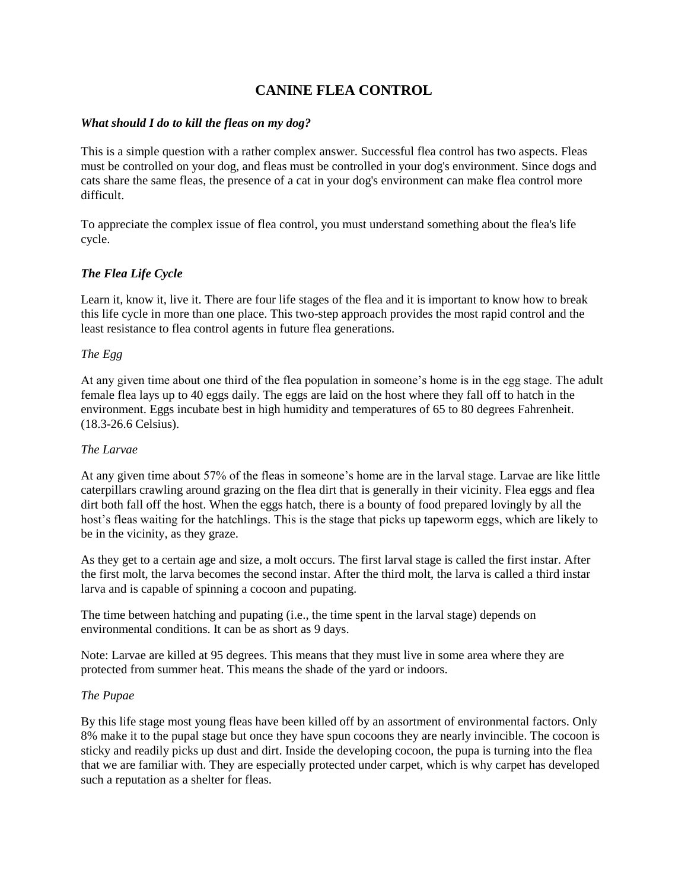# **CANINE FLEA CONTROL**

## *What should I do to kill the fleas on my dog?*

This is a simple question with a rather complex answer. Successful flea control has two aspects. Fleas must be controlled on your dog, and fleas must be controlled in your dog's environment. Since dogs and cats share the same fleas, the presence of a cat in your dog's environment can make flea control more difficult.

To appreciate the complex issue of flea control, you must understand something about the flea's life cycle.

## *The Flea Life Cycle*

Learn it, know it, live it. There are four life stages of the flea and it is important to know how to break this life cycle in more than one place. This two-step approach provides the most rapid control and the least resistance to flea control agents in future flea generations.

## *The Egg*

At any given time about one third of the flea population in someone's home is in the egg stage. The adult female flea lays up to 40 eggs daily. The eggs are laid on the host where they fall off to hatch in the environment. Eggs incubate best in high humidity and temperatures of 65 to 80 degrees Fahrenheit. (18.3-26.6 Celsius).

#### *The Larvae*

At any given time about 57% of the fleas in someone's home are in the larval stage. Larvae are like little caterpillars crawling around grazing on the flea dirt that is generally in their vicinity. Flea eggs and flea dirt both fall off the host. When the eggs hatch, there is a bounty of food prepared lovingly by all the host's fleas waiting for the hatchlings. This is the stage that picks up tapeworm eggs, which are likely to be in the vicinity, as they graze.

As they get to a certain age and size, a molt occurs. The first larval stage is called the first instar. After the first molt, the larva becomes the second instar. After the third molt, the larva is called a third instar larva and is capable of spinning a cocoon and pupating.

The time between hatching and pupating (i.e., the time spent in the larval stage) depends on environmental conditions. It can be as short as 9 days.

Note: Larvae are killed at 95 degrees. This means that they must live in some area where they are protected from summer heat. This means the shade of the yard or indoors.

#### *The Pupae*

By this life stage most young fleas have been killed off by an assortment of environmental factors. Only 8% make it to the pupal stage but once they have spun cocoons they are nearly invincible. The cocoon is sticky and readily picks up dust and dirt. Inside the developing cocoon, the pupa is turning into the flea that we are familiar with. They are especially protected under carpet, which is why carpet has developed such a reputation as a shelter for fleas.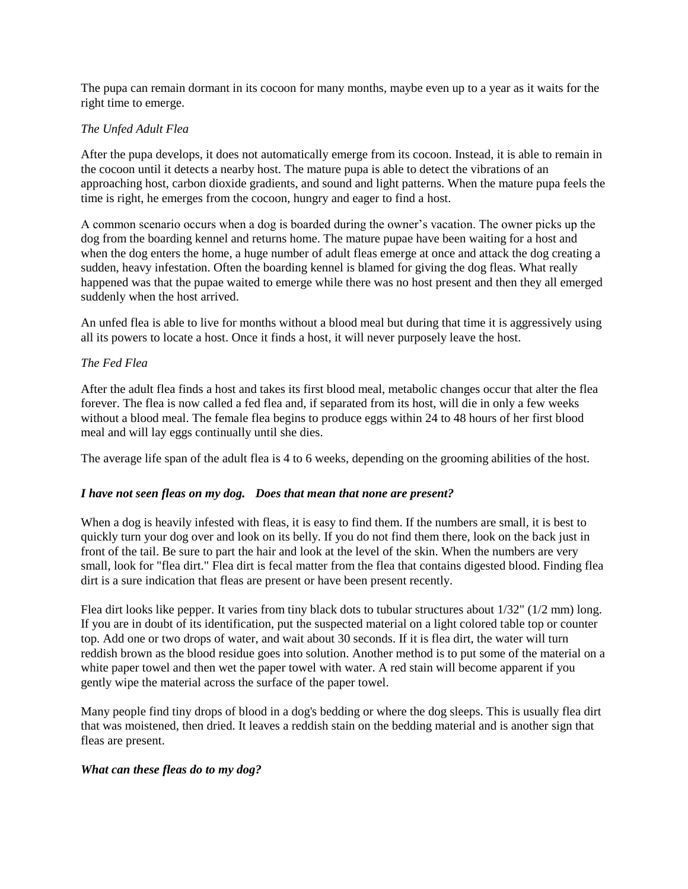The pupa can remain dormant in its cocoon for many months, maybe even up to a year as it waits for the right time to emerge.

### *The Unfed Adult Flea*

After the pupa develops, it does not automatically emerge from its cocoon. Instead, it is able to remain in the cocoon until it detects a nearby host. The mature pupa is able to detect the vibrations of an approaching host, carbon dioxide gradients, and sound and light patterns. When the mature pupa feels the time is right, he emerges from the cocoon, hungry and eager to find a host.

A common scenario occurs when a dog is boarded during the owner's vacation. The owner picks up the dog from the boarding kennel and returns home. The mature pupae have been waiting for a host and when the dog enters the home, a huge number of adult fleas emerge at once and attack the dog creating a sudden, heavy infestation. Often the boarding kennel is blamed for giving the dog fleas. What really happened was that the pupae waited to emerge while there was no host present and then they all emerged suddenly when the host arrived.

An unfed flea is able to live for months without a blood meal but during that time it is aggressively using all its powers to locate a host. Once it finds a host, it will never purposely leave the host.

#### *The Fed Flea*

After the adult flea finds a host and takes its first blood meal, metabolic changes occur that alter the flea forever. The flea is now called a fed flea and, if separated from its host, will die in only a few weeks without a blood meal. The female flea begins to produce eggs within 24 to 48 hours of her first blood meal and will lay eggs continually until she dies.

The average life span of the adult flea is 4 to 6 weeks, depending on the grooming abilities of the host.

#### *I have not seen fleas on my dog. Does that mean that none are present?*

When a dog is heavily infested with fleas, it is easy to find them. If the numbers are small, it is best to quickly turn your dog over and look on its belly. If you do not find them there, look on the back just in front of the tail. Be sure to part the hair and look at the level of the skin. When the numbers are very small, look for "flea dirt." Flea dirt is fecal matter from the flea that contains digested blood. Finding flea dirt is a sure indication that fleas are present or have been present recently.

Flea dirt looks like pepper. It varies from tiny black dots to tubular structures about 1/32" (1/2 mm) long. If you are in doubt of its identification, put the suspected material on a light colored table top or counter top. Add one or two drops of water, and wait about 30 seconds. If it is flea dirt, the water will turn reddish brown as the blood residue goes into solution. Another method is to put some of the material on a white paper towel and then wet the paper towel with water. A red stain will become apparent if you gently wipe the material across the surface of the paper towel.

Many people find tiny drops of blood in a dog's bedding or where the dog sleeps. This is usually flea dirt that was moistened, then dried. It leaves a reddish stain on the bedding material and is another sign that fleas are present.

#### *What can these fleas do to my dog?*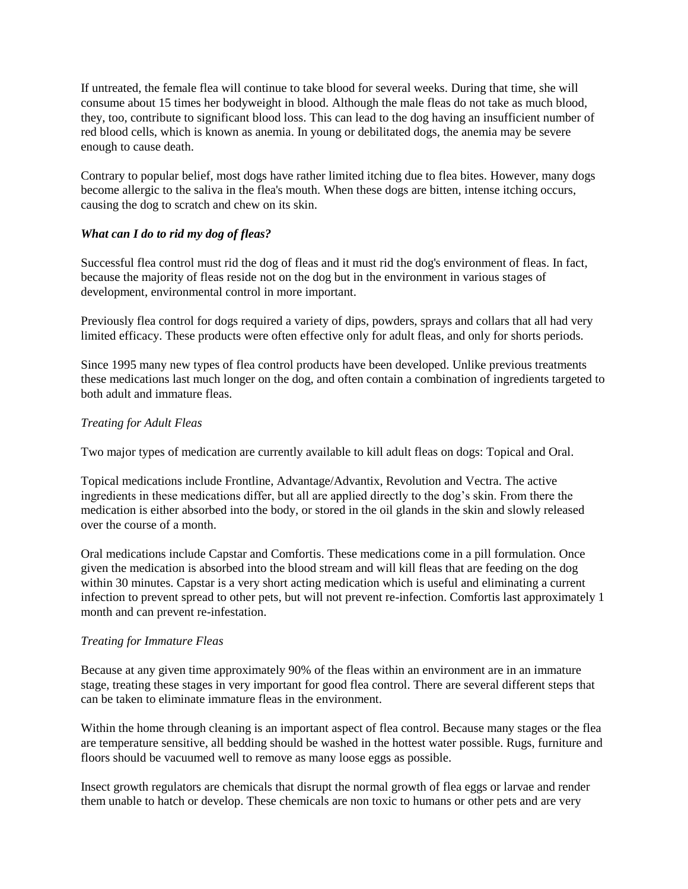If untreated, the female flea will continue to take blood for several weeks. During that time, she will consume about 15 times her bodyweight in blood. Although the male fleas do not take as much blood, they, too, contribute to significant blood loss. This can lead to the dog having an insufficient number of red blood cells, which is known as anemia. In young or debilitated dogs, the anemia may be severe enough to cause death.

Contrary to popular belief, most dogs have rather limited itching due to flea bites. However, many dogs become allergic to the saliva in the flea's mouth. When these dogs are bitten, intense itching occurs, causing the dog to scratch and chew on its skin.

## *What can I do to rid my dog of fleas?*

Successful flea control must rid the dog of fleas and it must rid the dog's environment of fleas. In fact, because the majority of fleas reside not on the dog but in the environment in various stages of development, environmental control in more important.

Previously flea control for dogs required a variety of dips, powders, sprays and collars that all had very limited efficacy. These products were often effective only for adult fleas, and only for shorts periods.

Since 1995 many new types of flea control products have been developed. Unlike previous treatments these medications last much longer on the dog, and often contain a combination of ingredients targeted to both adult and immature fleas.

## *Treating for Adult Fleas*

Two major types of medication are currently available to kill adult fleas on dogs: Topical and Oral.

Topical medications include Frontline, Advantage/Advantix, Revolution and Vectra. The active ingredients in these medications differ, but all are applied directly to the dog's skin. From there the medication is either absorbed into the body, or stored in the oil glands in the skin and slowly released over the course of a month.

Oral medications include Capstar and Comfortis. These medications come in a pill formulation. Once given the medication is absorbed into the blood stream and will kill fleas that are feeding on the dog within 30 minutes. Capstar is a very short acting medication which is useful and eliminating a current infection to prevent spread to other pets, but will not prevent re-infection. Comfortis last approximately 1 month and can prevent re-infestation.

#### *Treating for Immature Fleas*

Because at any given time approximately 90% of the fleas within an environment are in an immature stage, treating these stages in very important for good flea control. There are several different steps that can be taken to eliminate immature fleas in the environment.

Within the home through cleaning is an important aspect of flea control. Because many stages or the flea are temperature sensitive, all bedding should be washed in the hottest water possible. Rugs, furniture and floors should be vacuumed well to remove as many loose eggs as possible.

Insect growth regulators are chemicals that disrupt the normal growth of flea eggs or larvae and render them unable to hatch or develop. These chemicals are non toxic to humans or other pets and are very